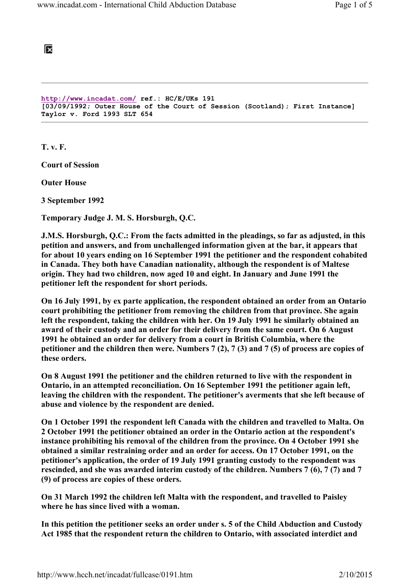## 阪

```
http://www.incadat.com/ ref.: HC/E/UKs 191 
[03/09/1992; Outer House of the Court of Session (Scotland); First Instance] 
Taylor v. Ford 1993 SLT 654
```
T. v. F.

Court of Session

Outer House

3 September 1992

Temporary Judge J. M. S. Horsburgh, Q.C.

J.M.S. Horsburgh, Q.C.: From the facts admitted in the pleadings, so far as adjusted, in this petition and answers, and from unchallenged information given at the bar, it appears that for about 10 years ending on 16 September 1991 the petitioner and the respondent cohabited in Canada. They both have Canadian nationality, although the respondent is of Maltese origin. They had two children, now aged 10 and eight. In January and June 1991 the petitioner left the respondent for short periods.

On 16 July 1991, by ex parte application, the respondent obtained an order from an Ontario court prohibiting the petitioner from removing the children from that province. She again left the respondent, taking the children with her. On 19 July 1991 he similarly obtained an award of their custody and an order for their delivery from the same court. On 6 August 1991 he obtained an order for delivery from a court in British Columbia, where the petitioner and the children then were. Numbers 7 (2), 7 (3) and 7 (5) of process are copies of these orders.

On 8 August 1991 the petitioner and the children returned to live with the respondent in Ontario, in an attempted reconciliation. On 16 September 1991 the petitioner again left, leaving the children with the respondent. The petitioner's averments that she left because of abuse and violence by the respondent are denied.

On 1 October 1991 the respondent left Canada with the children and travelled to Malta. On 2 October 1991 the petitioner obtained an order in the Ontario action at the respondent's instance prohibiting his removal of the children from the province. On 4 October 1991 she obtained a similar restraining order and an order for access. On 17 October 1991, on the petitioner's application, the order of 19 July 1991 granting custody to the respondent was rescinded, and she was awarded interim custody of the children. Numbers 7 (6), 7 (7) and 7 (9) of process are copies of these orders.

On 31 March 1992 the children left Malta with the respondent, and travelled to Paisley where he has since lived with a woman.

In this petition the petitioner seeks an order under s. 5 of the Child Abduction and Custody Act 1985 that the respondent return the children to Ontario, with associated interdict and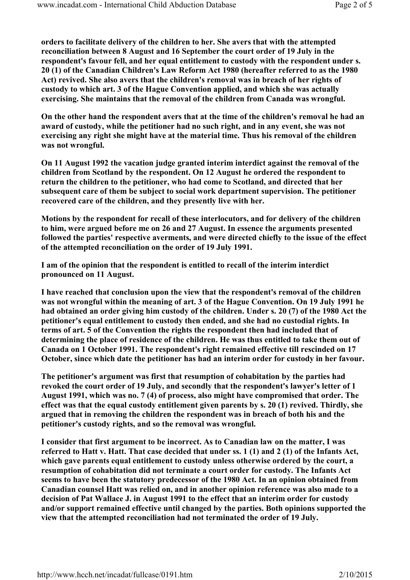orders to facilitate delivery of the children to her. She avers that with the attempted reconciliation between 8 August and 16 September the court order of 19 July in the respondent's favour fell, and her equal entitlement to custody with the respondent under s. 20 (1) of the Canadian Children's Law Reform Act 1980 (hereafter referred to as the 1980 Act) revived. She also avers that the children's removal was in breach of her rights of custody to which art. 3 of the Hague Convention applied, and which she was actually exercising. She maintains that the removal of the children from Canada was wrongful.

On the other hand the respondent avers that at the time of the children's removal he had an award of custody, while the petitioner had no such right, and in any event, she was not exercising any right she might have at the material time. Thus his removal of the children was not wrongful.

On 11 August 1992 the vacation judge granted interim interdict against the removal of the children from Scotland by the respondent. On 12 August he ordered the respondent to return the children to the petitioner, who had come to Scotland, and directed that her subsequent care of them be subject to social work department supervision. The petitioner recovered care of the children, and they presently live with her.

Motions by the respondent for recall of these interlocutors, and for delivery of the children to him, were argued before me on 26 and 27 August. In essence the arguments presented followed the parties' respective averments, and were directed chiefly to the issue of the effect of the attempted reconciliation on the order of 19 July 1991.

I am of the opinion that the respondent is entitled to recall of the interim interdict pronounced on 11 August.

I have reached that conclusion upon the view that the respondent's removal of the children was not wrongful within the meaning of art. 3 of the Hague Convention. On 19 July 1991 he had obtained an order giving him custody of the children. Under s. 20 (7) of the 1980 Act the petitioner's equal entitlement to custody then ended, and she had no custodial rights. In terms of art. 5 of the Convention the rights the respondent then had included that of determining the place of residence of the children. He was thus entitled to take them out of Canada on 1 October 1991. The respondent's right remained effective till rescinded on 17 October, since which date the petitioner has had an interim order for custody in her favour.

The petitioner's argument was first that resumption of cohabitation by the parties had revoked the court order of 19 July, and secondly that the respondent's lawyer's letter of 1 August 1991, which was no. 7 (4) of process, also might have compromised that order. The effect was that the equal custody entitlement given parents by s. 20 (1) revived. Thirdly, she argued that in removing the children the respondent was in breach of both his and the petitioner's custody rights, and so the removal was wrongful.

I consider that first argument to be incorrect. As to Canadian law on the matter, I was referred to Hatt v. Hatt. That case decided that under ss. 1 (1) and 2 (1) of the Infants Act, which gave parents equal entitlement to custody unless otherwise ordered by the court, a resumption of cohabitation did not terminate a court order for custody. The Infants Act seems to have been the statutory predecessor of the 1980 Act. In an opinion obtained from Canadian counsel Hatt was relied on, and in another opinion reference was also made to a decision of Pat Wallace J. in August 1991 to the effect that an interim order for custody and/or support remained effective until changed by the parties. Both opinions supported the view that the attempted reconciliation had not terminated the order of 19 July.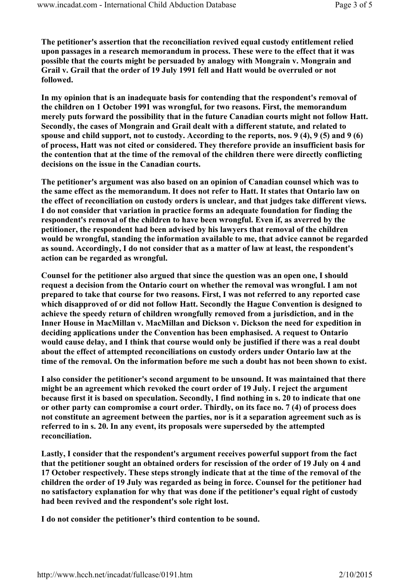The petitioner's assertion that the reconciliation revived equal custody entitlement relied upon passages in a research memorandum in process. These were to the effect that it was possible that the courts might be persuaded by analogy with Mongrain v. Mongrain and Grail v. Grail that the order of 19 July 1991 fell and Hatt would be overruled or not followed.

In my opinion that is an inadequate basis for contending that the respondent's removal of the children on 1 October 1991 was wrongful, for two reasons. First, the memorandum merely puts forward the possibility that in the future Canadian courts might not follow Hatt. Secondly, the cases of Mongrain and Grail dealt with a different statute, and related to spouse and child support, not to custody. According to the reports, nos. 9 (4), 9 (5) and 9 (6) of process, Hatt was not cited or considered. They therefore provide an insufficient basis for the contention that at the time of the removal of the children there were directly conflicting decisions on the issue in the Canadian courts.

The petitioner's argument was also based on an opinion of Canadian counsel which was to the same effect as the memorandum. It does not refer to Hatt. It states that Ontario law on the effect of reconciliation on custody orders is unclear, and that judges take different views. I do not consider that variation in practice forms an adequate foundation for finding the respondent's removal of the children to have been wrongful. Even if, as averred by the petitioner, the respondent had been advised by his lawyers that removal of the children would be wrongful, standing the information available to me, that advice cannot be regarded as sound. Accordingly, I do not consider that as a matter of law at least, the respondent's action can be regarded as wrongful.

Counsel for the petitioner also argued that since the question was an open one, I should request a decision from the Ontario court on whether the removal was wrongful. I am not prepared to take that course for two reasons. First, I was not referred to any reported case which disapproved of or did not follow Hatt. Secondly the Hague Convention is designed to achieve the speedy return of children wrongfully removed from a jurisdiction, and in the Inner House in MacMillan v. MacMillan and Dickson v. Dickson the need for expedition in deciding applications under the Convention has been emphasised. A request to Ontario would cause delay, and I think that course would only be justified if there was a real doubt about the effect of attempted reconciliations on custody orders under Ontario law at the time of the removal. On the information before me such a doubt has not been shown to exist.

I also consider the petitioner's second argument to be unsound. It was maintained that there might be an agreement which revoked the court order of 19 July. I reject the argument because first it is based on speculation. Secondly, I find nothing in s. 20 to indicate that one or other party can compromise a court order. Thirdly, on its face no. 7 (4) of process does not constitute an agreement between the parties, nor is it a separation agreement such as is referred to in s. 20. In any event, its proposals were superseded by the attempted reconciliation.

Lastly, I consider that the respondent's argument receives powerful support from the fact that the petitioner sought an obtained orders for rescission of the order of 19 July on 4 and 17 October respectively. These steps strongly indicate that at the time of the removal of the children the order of 19 July was regarded as being in force. Counsel for the petitioner had no satisfactory explanation for why that was done if the petitioner's equal right of custody had been revived and the respondent's sole right lost.

I do not consider the petitioner's third contention to be sound.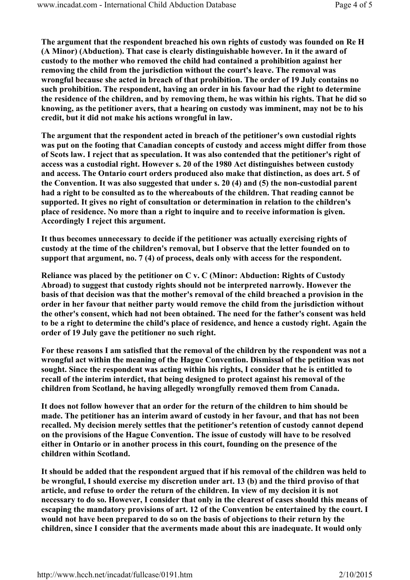The argument that the respondent breached his own rights of custody was founded on Re H (A Minor) (Abduction). That case is clearly distinguishable however. In it the award of custody to the mother who removed the child had contained a prohibition against her removing the child from the jurisdiction without the court's leave. The removal was wrongful because she acted in breach of that prohibition. The order of 19 July contains no such prohibition. The respondent, having an order in his favour had the right to determine the residence of the children, and by removing them, he was within his rights. That he did so knowing, as the petitioner avers, that a hearing on custody was imminent, may not be to his credit, but it did not make his actions wrongful in law.

The argument that the respondent acted in breach of the petitioner's own custodial rights was put on the footing that Canadian concepts of custody and access might differ from those of Scots law. I reject that as speculation. It was also contended that the petitioner's right of access was a custodial right. However s. 20 of the 1980 Act distinguishes between custody and access. The Ontario court orders produced also make that distinction, as does art. 5 of the Convention. It was also suggested that under s. 20 (4) and (5) the non-custodial parent had a right to be consulted as to the whereabouts of the children. That reading cannot be supported. It gives no right of consultation or determination in relation to the children's place of residence. No more than a right to inquire and to receive information is given. Accordingly I reject this argument.

It thus becomes unnecessary to decide if the petitioner was actually exercising rights of custody at the time of the children's removal, but I observe that the letter founded on to support that argument, no. 7 (4) of process, deals only with access for the respondent.

Reliance was placed by the petitioner on C v. C (Minor: Abduction: Rights of Custody Abroad) to suggest that custody rights should not be interpreted narrowly. However the basis of that decision was that the mother's removal of the child breached a provision in the order in her favour that neither party would remove the child from the jurisdiction without the other's consent, which had not been obtained. The need for the father's consent was held to be a right to determine the child's place of residence, and hence a custody right. Again the order of 19 July gave the petitioner no such right.

For these reasons I am satisfied that the removal of the children by the respondent was not a wrongful act within the meaning of the Hague Convention. Dismissal of the petition was not sought. Since the respondent was acting within his rights, I consider that he is entitled to recall of the interim interdict, that being designed to protect against his removal of the children from Scotland, he having allegedly wrongfully removed them from Canada.

It does not follow however that an order for the return of the children to him should be made. The petitioner has an interim award of custody in her favour, and that has not been recalled. My decision merely settles that the petitioner's retention of custody cannot depend on the provisions of the Hague Convention. The issue of custody will have to be resolved either in Ontario or in another process in this court, founding on the presence of the children within Scotland.

It should be added that the respondent argued that if his removal of the children was held to be wrongful, I should exercise my discretion under art. 13 (b) and the third proviso of that article, and refuse to order the return of the children. In view of my decision it is not necessary to do so. However, I consider that only in the clearest of cases should this means of escaping the mandatory provisions of art. 12 of the Convention be entertained by the court. I would not have been prepared to do so on the basis of objections to their return by the children, since I consider that the averments made about this are inadequate. It would only